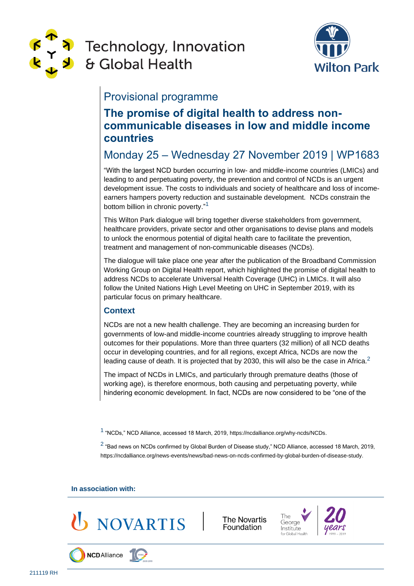

# **Technology, Innovation** & Global Health



## Provisional programme

# **The promise of digital health to address noncommunicable diseases in low and middle income countries**

# Monday 25 – Wednesday 27 November 2019 | WP1683

"With the largest NCD burden occurring in low- and middle-income countries (LMICs) and leading to and perpetuating poverty, the prevention and control of NCDs is an urgent development issue. The costs to individuals and society of healthcare and loss of incomeearners hampers poverty reduction and sustainable development. NCDs constrain the bottom billion in chronic poverty."<sup>1</sup>

This Wilton Park dialogue will bring together diverse stakeholders from government, healthcare providers, private sector and other organisations to devise plans and models to unlock the enormous potential of digital health care to facilitate the prevention, treatment and management of non-communicable diseases (NCDs).

The dialogue will take place one year after the publication of the Broadband Commission Working Group on Digital Health report, which highlighted the promise of digital health to address NCDs to accelerate Universal Health Coverage (UHC) in LMICs. It will also follow the United Nations High Level Meeting on UHC in September 2019, with its particular focus on primary healthcare.

### **Context**

NCDs are not a new health challenge. They are becoming an increasing burden for governments of low-and middle-income countries already struggling to improve health outcomes for their populations. More than three quarters (32 million) of all NCD deaths occur in developing countries, and for all regions, except Africa, NCDs are now the leading cause of death. It is projected that by 2030, this will also be the case in Africa.<sup>2</sup>

The impact of NCDs in LMICs, and particularly through premature deaths (those of working age), is therefore enormous, both causing and perpetuating poverty, while hindering economic development. In fact, NCDs are now considered to be "one of the

1 "NCDs," NCD Alliance, accessed 18 March, 2019, https://ncdalliance.org/why-ncds/NCDs.

 $^2$  "Bad news on NCDs confirmed by Global Burden of Disease study," NCD Alliance, accessed 18 March, 2019, https://ncdalliance.org/news-events/news/bad-news-on-ncds-confirmed-by-global-burden-of-disease-study.

**In association with:** 

**NCD** Alliance



The Novartis Foundation



The

George

Institute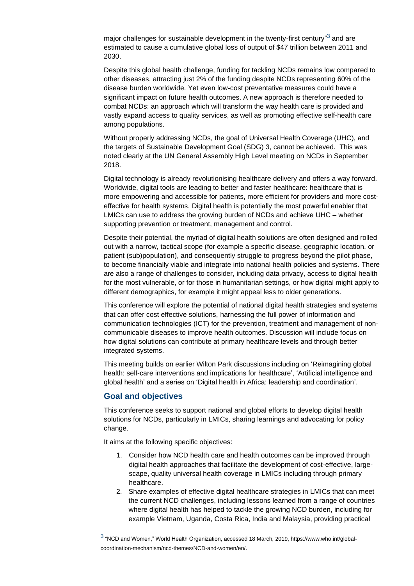major challenges for sustainable development in the twenty-first century" $^3$  and are estimated to cause a cumulative global loss of output of \$47 trillion between 2011 and 2030.

Despite this global health challenge, funding for tackling NCDs remains low compared to other diseases, attracting just 2% of the funding despite NCDs representing 60% of the disease burden worldwide. Yet even low-cost preventative measures could have a significant impact on future health outcomes. A new approach is therefore needed to combat NCDs: an approach which will transform the way health care is provided and vastly expand access to quality services, as well as promoting effective self-health care among populations.

Without properly addressing NCDs, the goal of Universal Health Coverage (UHC), and the targets of Sustainable Development Goal (SDG) 3, cannot be achieved. This was noted clearly at the UN General Assembly High Level meeting on NCDs in September 2018.

Digital technology is already revolutionising healthcare delivery and offers a way forward. Worldwide, digital tools are leading to better and faster healthcare: healthcare that is more empowering and accessible for patients, more efficient for providers and more costeffective for health systems. Digital health is potentially the most powerful enabler that LMICs can use to address the growing burden of NCDs and achieve UHC – whether supporting prevention or treatment, management and control.

Despite their potential, the myriad of digital health solutions are often designed and rolled out with a narrow, tactical scope (for example a specific disease, geographic location, or patient (sub)population), and consequently struggle to progress beyond the pilot phase, to become financially viable and integrate into national health policies and systems. There are also a range of challenges to consider, including data privacy, access to digital health for the most vulnerable, or for those in humanitarian settings, or how digital might apply to different demographics, for example it might appeal less to older generations.

This conference will explore the potential of national digital health strategies and systems that can offer cost effective solutions, harnessing the full power of information and communication technologies (ICT) for the prevention, treatment and management of noncommunicable diseases to improve health outcomes. Discussion will include focus on how digital solutions can contribute at primary healthcare levels and through better integrated systems.

This meeting builds on earlier Wilton Park discussions including on ['Reimagining global](https://www.wiltonpark.org.uk/event/wp1639/)  [health: self-care interventions and implications for healthcare',](https://www.wiltonpark.org.uk/event/wp1639/) ['Artificial intelligence and](https://www.wiltonpark.org.uk/event/wp1626/)  [global health'](https://www.wiltonpark.org.uk/event/wp1626/) and a series on ['Digital health in Africa: leadership and coordination'.](https://www.wiltonpark.org.uk/event/wp1571/)

#### **Goal and objectives**

This conference seeks to support national and global efforts to develop digital health solutions for NCDs, particularly in LMICs, sharing learnings and advocating for policy change.

It aims at the following specific objectives:

- 1. Consider how NCD health care and health outcomes can be improved through digital health approaches that facilitate the development of cost-effective, largescape, quality universal health coverage in LMICs including through primary healthcare.
- 2. Share examples of effective digital healthcare strategies in LMICs that can meet the current NCD challenges, including lessons learned from a range of countries where digital health has helped to tackle the growing NCD burden, including for example Vietnam, Uganda, Costa Rica, India and Malaysia, providing practical

 $^3$  "NCD and Women," World Health Organization, accessed 18 March, 2019, https://www.who.int/globalcoordination-mechanism/ncd-themes/NCD-and-women/en/.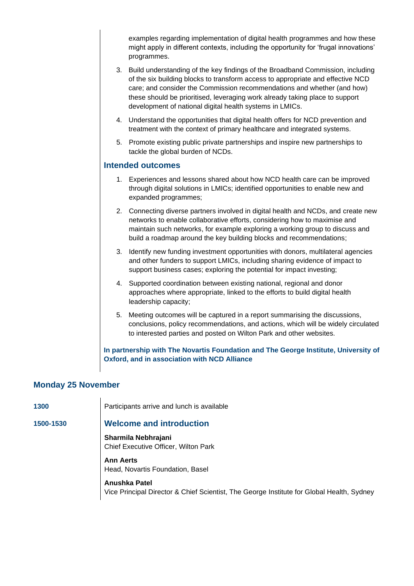examples regarding implementation of digital health programmes and how these might apply in different contexts, including the opportunity for 'frugal innovations' programmes.

- 3. Build understanding of the key findings of the Broadband Commission, including of the six building blocks to transform access to appropriate and effective NCD care; and consider the Commission recommendations and whether (and how) these should be prioritised, leveraging work already taking place to support development of national digital health systems in LMICs.
- 4. Understand the opportunities that digital health offers for NCD prevention and treatment with the context of primary healthcare and integrated systems.
- 5. Promote existing public private partnerships and inspire new partnerships to tackle the global burden of NCDs.

#### **Intended outcomes**

- 1. Experiences and lessons shared about how NCD health care can be improved through digital solutions in LMICs; identified opportunities to enable new and expanded programmes;
- 2. Connecting diverse partners involved in digital health and NCDs, and create new networks to enable collaborative efforts, considering how to maximise and maintain such networks, for example exploring a working group to discuss and build a roadmap around the key building blocks and recommendations;
- 3. Identify new funding investment opportunities with donors, multilateral agencies and other funders to support LMICs, including sharing evidence of impact to support business cases; exploring the potential for impact investing;
- 4. Supported coordination between existing national, regional and donor approaches where appropriate, linked to the efforts to build digital health leadership capacity;
- 5. Meeting outcomes will be captured in a report summarising the discussions, conclusions, policy recommendations, and actions, which will be widely circulated to interested parties and posted on Wilton Park and other websites.

#### **In partnership with The Novartis Foundation and The George Institute, University of Oxford, and in association with NCD Alliance**

#### **Monday 25 November**

1300 **Participants arrive and lunch is available** 

#### **1500-1530 Welcome and introduction**

**Sharmila Nebhrajani** Chief Executive Officer, Wilton Park

**Ann Aerts** Head, Novartis Foundation, Basel

**Anushka Patel** Vice Principal Director & Chief Scientist, The George Institute for Global Health, Sydney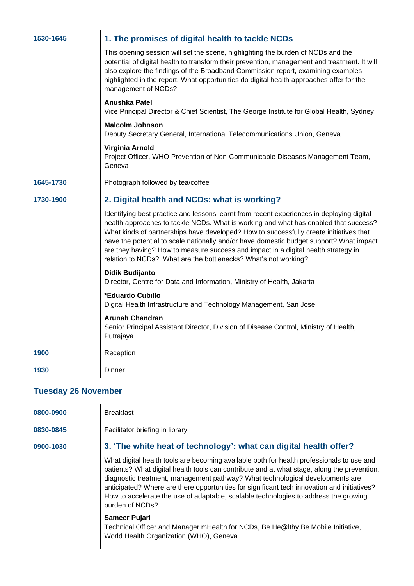| 1530-1645                  | 1. The promises of digital health to tackle NCDs                                                                                                                                                                                                                                                                                                                                                                                                                                                                                |  |
|----------------------------|---------------------------------------------------------------------------------------------------------------------------------------------------------------------------------------------------------------------------------------------------------------------------------------------------------------------------------------------------------------------------------------------------------------------------------------------------------------------------------------------------------------------------------|--|
|                            | This opening session will set the scene, highlighting the burden of NCDs and the<br>potential of digital health to transform their prevention, management and treatment. It will<br>also explore the findings of the Broadband Commission report, examining examples<br>highlighted in the report. What opportunities do digital health approaches offer for the<br>management of NCDs?                                                                                                                                         |  |
|                            | Anushka Patel<br>Vice Principal Director & Chief Scientist, The George Institute for Global Health, Sydney                                                                                                                                                                                                                                                                                                                                                                                                                      |  |
|                            | <b>Malcolm Johnson</b><br>Deputy Secretary General, International Telecommunications Union, Geneva                                                                                                                                                                                                                                                                                                                                                                                                                              |  |
|                            | Virginia Arnold<br>Project Officer, WHO Prevention of Non-Communicable Diseases Management Team,<br>Geneva                                                                                                                                                                                                                                                                                                                                                                                                                      |  |
| 1645-1730                  | Photograph followed by tea/coffee                                                                                                                                                                                                                                                                                                                                                                                                                                                                                               |  |
| 1730-1900                  | 2. Digital health and NCDs: what is working?                                                                                                                                                                                                                                                                                                                                                                                                                                                                                    |  |
|                            | Identifying best practice and lessons learnt from recent experiences in deploying digital<br>health approaches to tackle NCDs. What is working and what has enabled that success?<br>What kinds of partnerships have developed? How to successfully create initiatives that<br>have the potential to scale nationally and/or have domestic budget support? What impact<br>are they having? How to measure success and impact in a digital health strategy in<br>relation to NCDs? What are the bottlenecks? What's not working? |  |
|                            | <b>Didik Budijanto</b><br>Director, Centre for Data and Information, Ministry of Health, Jakarta                                                                                                                                                                                                                                                                                                                                                                                                                                |  |
|                            | *Eduardo Cubillo<br>Digital Health Infrastructure and Technology Management, San Jose                                                                                                                                                                                                                                                                                                                                                                                                                                           |  |
|                            | <b>Arunah Chandran</b><br>Senior Principal Assistant Director, Division of Disease Control, Ministry of Health,<br>Putrajaya                                                                                                                                                                                                                                                                                                                                                                                                    |  |
| 1900                       | Reception                                                                                                                                                                                                                                                                                                                                                                                                                                                                                                                       |  |
| 1930                       | Dinner                                                                                                                                                                                                                                                                                                                                                                                                                                                                                                                          |  |
| <b>Tuesday 26 November</b> |                                                                                                                                                                                                                                                                                                                                                                                                                                                                                                                                 |  |
| 0800-0900                  | <b>Breakfast</b>                                                                                                                                                                                                                                                                                                                                                                                                                                                                                                                |  |
| 0830-0845                  | Facilitator briefing in library                                                                                                                                                                                                                                                                                                                                                                                                                                                                                                 |  |
| 0900-1030                  | 3. 'The white heat of technology': what can digital health offer?                                                                                                                                                                                                                                                                                                                                                                                                                                                               |  |
|                            | What digital health tools are becoming available both for health professionals to use and<br>patients? What digital health tools can contribute and at what stage, along the prevention,<br>diagnostic treatment, management pathway? What technological developments are<br>anticipated? Where are there opportunities for significant tech innovation and initiatives?<br>How to accelerate the use of adaptable, scalable technologies to address the growing<br>burden of NCDs?                                             |  |
|                            | Sameer Pujari                                                                                                                                                                                                                                                                                                                                                                                                                                                                                                                   |  |

Technical Officer and Manager mHealth for NCDs, Be He@lthy Be Mobile Initiative, World Health Organization (WHO), Geneva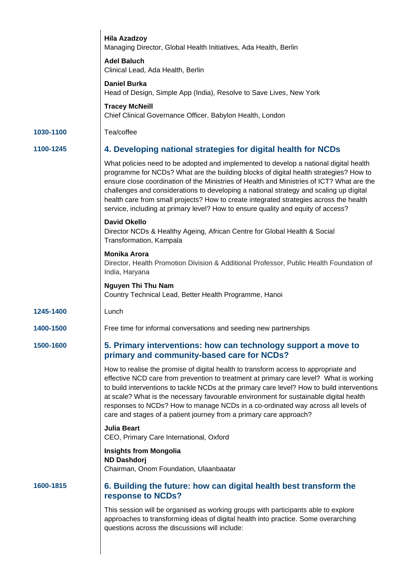|           | <b>Hila Azadzoy</b><br>Managing Director, Global Health Initiatives, Ada Health, Berlin                                                                                                                                                                                                                                                                                                                                                                                                                                                             |
|-----------|-----------------------------------------------------------------------------------------------------------------------------------------------------------------------------------------------------------------------------------------------------------------------------------------------------------------------------------------------------------------------------------------------------------------------------------------------------------------------------------------------------------------------------------------------------|
|           | <b>Adel Baluch</b><br>Clinical Lead, Ada Health, Berlin                                                                                                                                                                                                                                                                                                                                                                                                                                                                                             |
|           | <b>Daniel Burka</b><br>Head of Design, Simple App (India), Resolve to Save Lives, New York                                                                                                                                                                                                                                                                                                                                                                                                                                                          |
|           | <b>Tracey McNeill</b><br>Chief Clinical Governance Officer, Babylon Health, London                                                                                                                                                                                                                                                                                                                                                                                                                                                                  |
| 1030-1100 | Tea/coffee                                                                                                                                                                                                                                                                                                                                                                                                                                                                                                                                          |
| 1100-1245 | 4. Developing national strategies for digital health for NCDs                                                                                                                                                                                                                                                                                                                                                                                                                                                                                       |
|           | What policies need to be adopted and implemented to develop a national digital health<br>programme for NCDs? What are the building blocks of digital health strategies? How to<br>ensure close coordination of the Ministries of Health and Ministries of ICT? What are the<br>challenges and considerations to developing a national strategy and scaling up digital<br>health care from small projects? How to create integrated strategies across the health<br>service, including at primary level? How to ensure quality and equity of access? |
|           | <b>David Okello</b><br>Director NCDs & Healthy Ageing, African Centre for Global Health & Social<br>Transformation, Kampala                                                                                                                                                                                                                                                                                                                                                                                                                         |
|           | <b>Monika Arora</b><br>Director, Health Promotion Division & Additional Professor, Public Health Foundation of<br>India, Haryana                                                                                                                                                                                                                                                                                                                                                                                                                    |
|           | <b>Nguyen Thi Thu Nam</b><br>Country Technical Lead, Better Health Programme, Hanoi                                                                                                                                                                                                                                                                                                                                                                                                                                                                 |
| 1245-1400 | Lunch                                                                                                                                                                                                                                                                                                                                                                                                                                                                                                                                               |
| 1400-1500 | Free time for informal conversations and seeding new partnerships                                                                                                                                                                                                                                                                                                                                                                                                                                                                                   |
| 1500-1600 | 5. Primary interventions: how can technology support a move to<br>primary and community-based care for NCDs?                                                                                                                                                                                                                                                                                                                                                                                                                                        |
|           | How to realise the promise of digital health to transform access to appropriate and<br>effective NCD care from prevention to treatment at primary care level? What is working<br>to build interventions to tackle NCDs at the primary care level? How to build interventions<br>at scale? What is the necessary favourable environment for sustainable digital health<br>responses to NCDs? How to manage NCDs in a co-ordinated way across all levels of<br>care and stages of a patient journey from a primary care approach?                     |
|           | <b>Julia Beart</b><br>CEO, Primary Care International, Oxford                                                                                                                                                                                                                                                                                                                                                                                                                                                                                       |
|           | <b>Insights from Mongolia</b><br><b>ND Dashdorj</b><br>Chairman, Onom Foundation, Ulaanbaatar                                                                                                                                                                                                                                                                                                                                                                                                                                                       |
| 1600-1815 | 6. Building the future: how can digital health best transform the<br>response to NCDs?                                                                                                                                                                                                                                                                                                                                                                                                                                                              |
|           | This session will be organised as working groups with participants able to explore<br>approaches to transforming ideas of digital health into practice. Some overarching<br>questions across the discussions will include:                                                                                                                                                                                                                                                                                                                          |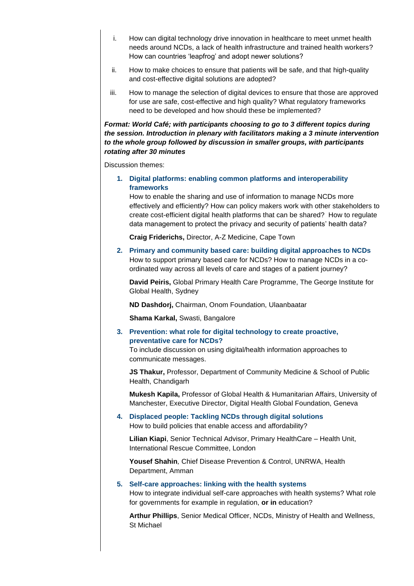- i. How can digital technology drive innovation in healthcare to meet unmet health needs around NCDs, a lack of health infrastructure and trained health workers? How can countries 'leapfrog' and adopt newer solutions?
- ii. How to make choices to ensure that patients will be safe, and that high-quality and cost-effective digital solutions are adopted?
- iii. How to manage the selection of digital devices to ensure that those are approved for use are safe, cost-effective and high quality? What regulatory frameworks need to be developed and how should these be implemented?

#### *Format: World Café; with participants choosing to go to 3 different topics during the session. Introduction in plenary with facilitators making a 3 minute intervention to the whole group followed by discussion in smaller groups, with participants rotating after 30 minutes*

Discussion themes:

**1. Digital platforms: enabling common platforms and interoperability frameworks**

How to enable the sharing and use of information to manage NCDs more effectively and efficiently? How can policy makers work with other stakeholders to create cost-efficient digital health platforms that can be shared? How to regulate data management to protect the privacy and security of patients' health data?

**Craig Friderichs,** Director, A-Z Medicine, Cape Town

**2. Primary and community based care: building digital approaches to NCDs** How to support primary based care for NCDs? How to manage NCDs in a coordinated way across all levels of care and stages of a patient journey?

**David Peiris,** Global Primary Health Care Programme, The George Institute for Global Health, Sydney

**ND Dashdorj,** Chairman, Onom Foundation, Ulaanbaatar

 **Shama Karkal,** Swasti, Bangalore

**3. Prevention: what role for digital technology to create proactive, preventative care for NCDs?**

To include discussion on using digital/health information approaches to communicate messages.

**JS Thakur,** Professor, Department of Community Medicine & School of Public Health, Chandigarh

**Mukesh Kapila,** Professor of Global Health & Humanitarian Affairs, University of Manchester, Executive Director, Digital Health Global Foundation, Geneva

#### **4. Displaced people: Tackling NCDs through digital solutions** How to build policies that enable access and affordability?

**Lilian Kiapi**, Senior Technical Advisor, Primary HealthCare – Health Unit, International Rescue Committee, London

**Yousef Shahin***,* Chief Disease Prevention & Control, UNRWA, Health Department, Amman

#### **5. Self-care approaches: linking with the health systems**

How to integrate individual self-care approaches with health systems? What role for governments for example in regulation, **or in** education?

**Arthur Phillips**, Senior Medical Officer, NCDs, Ministry of Health and Wellness, St Michael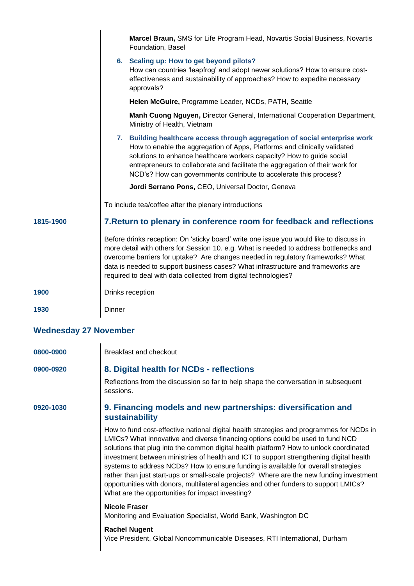|                              | Marcel Braun, SMS for Life Program Head, Novartis Social Business, Novartis<br>Foundation, Basel                                                                                                                                                                                                                                                                                                                            |  |
|------------------------------|-----------------------------------------------------------------------------------------------------------------------------------------------------------------------------------------------------------------------------------------------------------------------------------------------------------------------------------------------------------------------------------------------------------------------------|--|
|                              | 6. Scaling up: How to get beyond pilots?<br>How can countries 'leapfrog' and adopt newer solutions? How to ensure cost-<br>effectiveness and sustainability of approaches? How to expedite necessary<br>approvals?                                                                                                                                                                                                          |  |
|                              | Helen McGuire, Programme Leader, NCDs, PATH, Seattle                                                                                                                                                                                                                                                                                                                                                                        |  |
|                              | Manh Cuong Nguyen, Director General, International Cooperation Department,<br>Ministry of Health, Vietnam                                                                                                                                                                                                                                                                                                                   |  |
|                              | Building healthcare access through aggregation of social enterprise work<br>7.<br>How to enable the aggregation of Apps, Platforms and clinically validated<br>solutions to enhance healthcare workers capacity? How to guide social<br>entrepreneurs to collaborate and facilitate the aggregation of their work for<br>NCD's? How can governments contribute to accelerate this process?                                  |  |
|                              | Jordi Serrano Pons, CEO, Universal Doctor, Geneva                                                                                                                                                                                                                                                                                                                                                                           |  |
|                              | To include tea/coffee after the plenary introductions                                                                                                                                                                                                                                                                                                                                                                       |  |
| 1815-1900                    | 7. Return to plenary in conference room for feedback and reflections                                                                                                                                                                                                                                                                                                                                                        |  |
|                              | Before drinks reception: On 'sticky board' write one issue you would like to discuss in<br>more detail with others for Session 10. e.g. What is needed to address bottlenecks and<br>overcome barriers for uptake? Are changes needed in regulatory frameworks? What<br>data is needed to support business cases? What infrastructure and frameworks are<br>required to deal with data collected from digital technologies? |  |
| 1900                         | Drinks reception                                                                                                                                                                                                                                                                                                                                                                                                            |  |
| 1930                         | Dinner                                                                                                                                                                                                                                                                                                                                                                                                                      |  |
| <b>Wednesday 27 November</b> |                                                                                                                                                                                                                                                                                                                                                                                                                             |  |
| 0800-0900                    | <b>Breakfast and checkout</b>                                                                                                                                                                                                                                                                                                                                                                                               |  |

### **0900-0920 8. Digital health for NCDs - reflections**

Reflections from the discussion so far to help shape the conversation in subsequent sessions.

### **0920-1030 9. Financing models and new partnerships: diversification and sustainability**

How to fund cost-effective national digital health strategies and programmes for NCDs in LMICs? What innovative and diverse financing options could be used to fund NCD solutions that plug into the common digital health platform? How to unlock coordinated investment between ministries of health and ICT to support strengthening digital health systems to address NCDs? How to ensure funding is available for overall strategies rather than just start-ups or small-scale projects? Where are the new funding investment opportunities with donors, multilateral agencies and other funders to support LMICs? What are the opportunities for impact investing?

#### **Nicole Fraser**

Monitoring and Evaluation Specialist, World Bank, Washington DC

#### **Rachel Nugent**

Vice President, Global Noncommunicable Diseases, RTI International, Durham